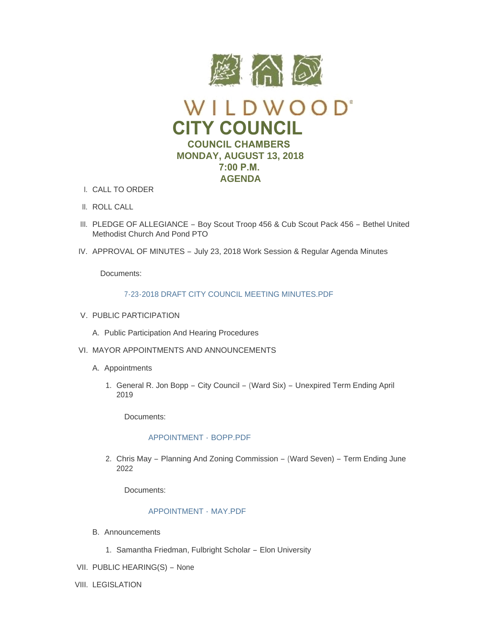

- CALL TO ORDER I.
- II. ROLL CALL
- III. PLEDGE OF ALLEGIANCE Boy Scout Troop 456 & Cub Scout Pack 456 Bethel United Methodist Church And Pond PTO
- IV. APPROVAL OF MINUTES July 23, 2018 Work Session & Regular Agenda Minutes

Documents:

# [7-23-2018 DRAFT CITY COUNCIL MEETING MINUTES.PDF](https://www.cityofwildwood.com/AgendaCenter/ViewFile/Item/16633?fileID=24114)

- V. PUBLIC PARTICIPATION
	- A. Public Participation And Hearing Procedures
- VI. MAYOR APPOINTMENTS AND ANNOUNCEMENTS
	- A. Appointments
		- 1. General R. Jon Bopp City Council (Ward Six) Unexpired Term Ending April 2019

Documents:

# [APPOINTMENT -](https://www.cityofwildwood.com/AgendaCenter/ViewFile/Item/16624?fileID=24121) BOPP.PDF

2. Chris May - Planning And Zoning Commission - (Ward Seven) - Term Ending June 2022

Documents:

# [APPOINTMENT -](https://www.cityofwildwood.com/AgendaCenter/ViewFile/Item/16625?fileID=24106) MAY.PDF

- Announcements B.
	- 1. Samantha Friedman, Fulbright Scholar Elon University
- VII. PUBLIC HEARING(S) None
- VIII. LEGISLATION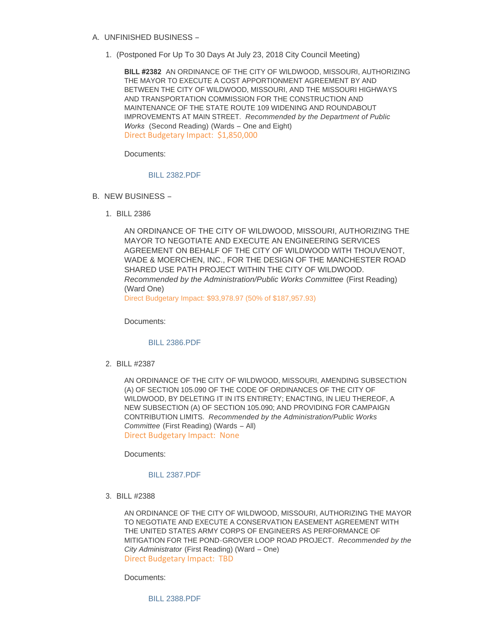- UNFINISHED BUSINESS A.
	- (Postponed For Up To 30 Days At July 23, 2018 City Council Meeting) 1.

**BILL #2382** AN ORDINANCE OF THE CITY OF WILDWOOD, MISSOURI, AUTHORIZING THE MAYOR TO EXECUTE A COST APPORTIONMENT AGREEMENT BY AND BETWEEN THE CITY OF WILDWOOD, MISSOURI, AND THE MISSOURI HIGHWAYS AND TRANSPORTATION COMMISSION FOR THE CONSTRUCTION AND MAINTENANCE OF THE STATE ROUTE 109 WIDENING AND ROUNDABOUT IMPROVEMENTS AT MAIN STREET. *Recommended by the Department of Public*  Works (Second Reading) (Wards - One and Eight) Direct Budgetary Impact: \$1,850,000

Documents:

### [BILL 2382.PDF](https://www.cityofwildwood.com/AgendaCenter/ViewFile/Item/16585?fileID=24092)

- B. NEW BUSINESS
	- BILL 2386 1.

AN ORDINANCE OF THE CITY OF WILDWOOD, MISSOURI, AUTHORIZING THE MAYOR TO NEGOTIATE AND EXECUTE AN ENGINEERING SERVICES AGREEMENT ON BEHALF OF THE CITY OF WILDWOOD WITH THOUVENOT, WADE & MOERCHEN, INC., FOR THE DESIGN OF THE MANCHESTER ROAD SHARED USE PATH PROJECT WITHIN THE CITY OF WILDWOOD. *Recommended by the Administration/Public Works Committee* (First Reading) (Ward One)

Direct Budgetary Impact: \$93,978.97 (50% of \$187,957.93)

Documents:

### [BILL 2386.PDF](https://www.cityofwildwood.com/AgendaCenter/ViewFile/Item/16627?fileID=24107)

BILL #2387 2.

AN ORDINANCE OF THE CITY OF WILDWOOD, MISSOURI, AMENDING SUBSECTION (A) OF SECTION 105.090 OF THE CODE OF ORDINANCES OF THE CITY OF WILDWOOD, BY DELETING IT IN ITS ENTIRETY; ENACTING, IN LIEU THEREOF, A NEW SUBSECTION (A) OF SECTION 105.090; AND PROVIDING FOR CAMPAIGN CONTRIBUTION LIMITS. *Recommended by the Administration/Public Works Committee* (First Reading) (Wards – All) Direct Budgetary Impact: None

Documents:

#### [BILL 2387.PDF](https://www.cityofwildwood.com/AgendaCenter/ViewFile/Item/16588?fileID=24093)

BILL #2388 3.

AN ORDINANCE OF THE CITY OF WILDWOOD, MISSOURI, AUTHORIZING THE MAYOR TO NEGOTIATE AND EXECUTE A CONSERVATION EASEMENT AGREEMENT WITH THE UNITED STATES ARMY CORPS OF ENGINEERS AS PERFORMANCE OF MITIGATION FOR THE POND-GROVER LOOP ROAD PROJECT. *Recommended by the City Administrator* (First Reading) (Ward – One) Direct Budgetary Impact: TBD

Documents:

[BILL 2388.PDF](https://www.cityofwildwood.com/AgendaCenter/ViewFile/Item/16589?fileID=24094)